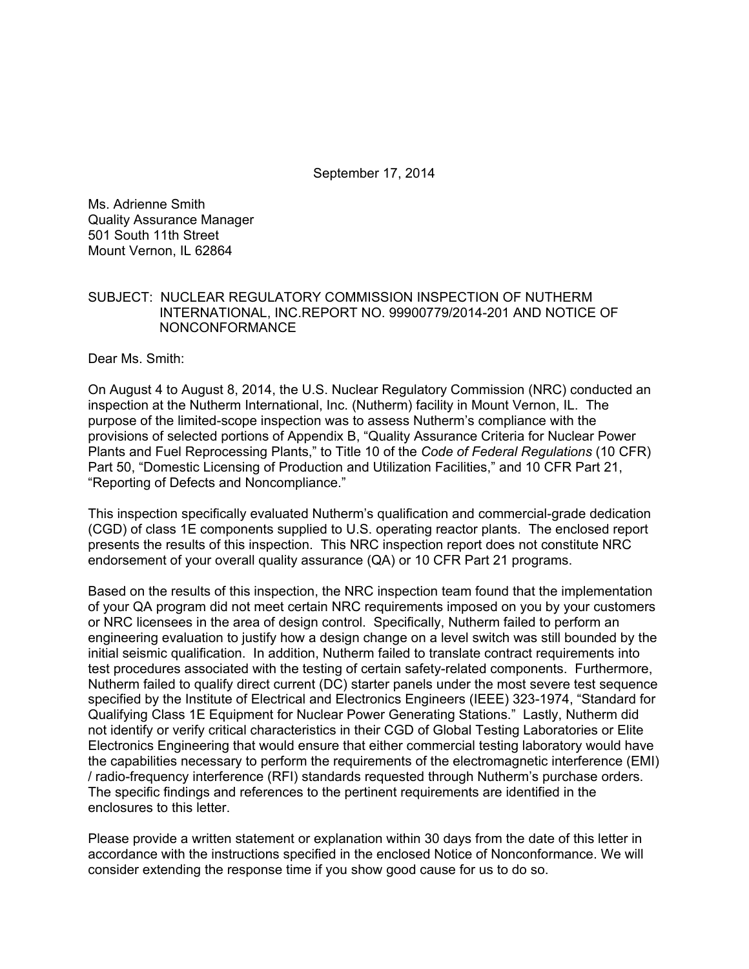September 17, 2014

Ms. Adrienne Smith Quality Assurance Manager 501 South 11th Street Mount Vernon, IL 62864

#### SUBJECT: NUCLEAR REGULATORY COMMISSION INSPECTION OF NUTHERM INTERNATIONAL, INC.REPORT NO. 99900779/2014-201 AND NOTICE OF NONCONFORMANCE

Dear Ms. Smith:

On August 4 to August 8, 2014, the U.S. Nuclear Regulatory Commission (NRC) conducted an inspection at the Nutherm International, Inc. (Nutherm) facility in Mount Vernon, IL. The purpose of the limited-scope inspection was to assess Nutherm's compliance with the provisions of selected portions of Appendix B, "Quality Assurance Criteria for Nuclear Power Plants and Fuel Reprocessing Plants," to Title 10 of the *Code of Federal Regulations* (10 CFR) Part 50, "Domestic Licensing of Production and Utilization Facilities," and 10 CFR Part 21, "Reporting of Defects and Noncompliance."

This inspection specifically evaluated Nutherm's qualification and commercial-grade dedication (CGD) of class 1E components supplied to U.S. operating reactor plants. The enclosed report presents the results of this inspection. This NRC inspection report does not constitute NRC endorsement of your overall quality assurance (QA) or 10 CFR Part 21 programs.

Based on the results of this inspection, the NRC inspection team found that the implementation of your QA program did not meet certain NRC requirements imposed on you by your customers or NRC licensees in the area of design control. Specifically, Nutherm failed to perform an engineering evaluation to justify how a design change on a level switch was still bounded by the initial seismic qualification. In addition, Nutherm failed to translate contract requirements into test procedures associated with the testing of certain safety-related components. Furthermore, Nutherm failed to qualify direct current (DC) starter panels under the most severe test sequence specified by the Institute of Electrical and Electronics Engineers (IEEE) 323-1974, "Standard for Qualifying Class 1E Equipment for Nuclear Power Generating Stations." Lastly, Nutherm did not identify or verify critical characteristics in their CGD of Global Testing Laboratories or Elite Electronics Engineering that would ensure that either commercial testing laboratory would have the capabilities necessary to perform the requirements of the electromagnetic interference (EMI) / radio-frequency interference (RFI) standards requested through Nutherm's purchase orders. The specific findings and references to the pertinent requirements are identified in the enclosures to this letter.

Please provide a written statement or explanation within 30 days from the date of this letter in accordance with the instructions specified in the enclosed Notice of Nonconformance. We will consider extending the response time if you show good cause for us to do so.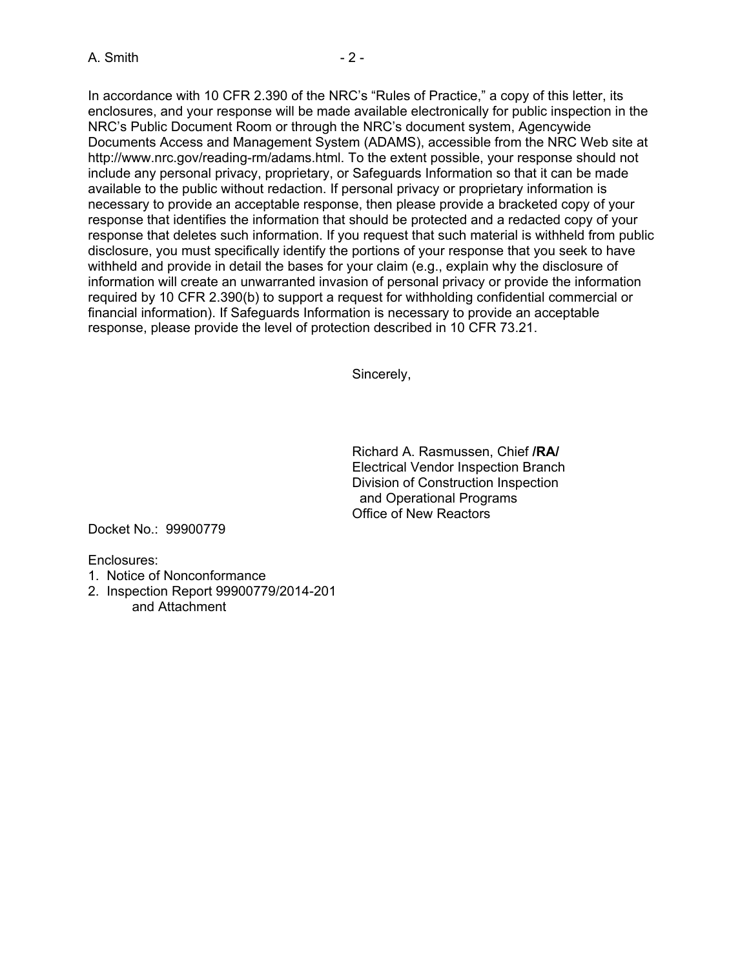In accordance with 10 CFR 2.390 of the NRC's "Rules of Practice," a copy of this letter, its enclosures, and your response will be made available electronically for public inspection in the NRC's Public Document Room or through the NRC's document system, Agencywide Documents Access and Management System (ADAMS), accessible from the NRC Web site at http://www.nrc.gov/reading-rm/adams.html. To the extent possible, your response should not include any personal privacy, proprietary, or Safeguards Information so that it can be made available to the public without redaction. If personal privacy or proprietary information is necessary to provide an acceptable response, then please provide a bracketed copy of your response that identifies the information that should be protected and a redacted copy of your response that deletes such information. If you request that such material is withheld from public disclosure, you must specifically identify the portions of your response that you seek to have withheld and provide in detail the bases for your claim (e.g., explain why the disclosure of information will create an unwarranted invasion of personal privacy or provide the information required by 10 CFR 2.390(b) to support a request for withholding confidential commercial or financial information). If Safeguards Information is necessary to provide an acceptable response, please provide the level of protection described in 10 CFR 73.21.

Sincerely,

Richard A. Rasmussen, Chief **/RA/**  Electrical Vendor Inspection Branch Division of Construction Inspection and Operational Programs Office of New Reactors

Docket No.: 99900779

Enclosures:

- 1. Notice of Nonconformance
- 2. Inspection Report 99900779/2014-201 and Attachment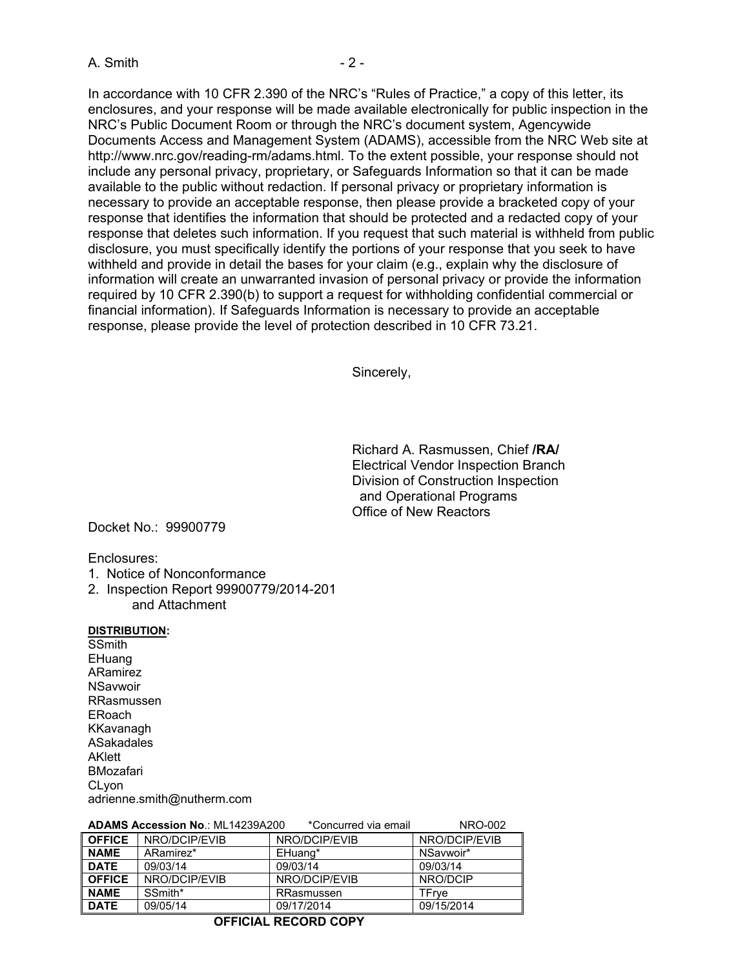In accordance with 10 CFR 2.390 of the NRC's "Rules of Practice," a copy of this letter, its enclosures, and your response will be made available electronically for public inspection in the NRC's Public Document Room or through the NRC's document system, Agencywide Documents Access and Management System (ADAMS), accessible from the NRC Web site at http://www.nrc.gov/reading-rm/adams.html. To the extent possible, your response should not include any personal privacy, proprietary, or Safeguards Information so that it can be made available to the public without redaction. If personal privacy or proprietary information is necessary to provide an acceptable response, then please provide a bracketed copy of your response that identifies the information that should be protected and a redacted copy of your response that deletes such information. If you request that such material is withheld from public disclosure, you must specifically identify the portions of your response that you seek to have withheld and provide in detail the bases for your claim (e.g., explain why the disclosure of information will create an unwarranted invasion of personal privacy or provide the information required by 10 CFR 2.390(b) to support a request for withholding confidential commercial or financial information). If Safeguards Information is necessary to provide an acceptable response, please provide the level of protection described in 10 CFR 73.21.

Sincerely,

Richard A. Rasmussen, Chief **/RA/**  Electrical Vendor Inspection Branch Division of Construction Inspection and Operational Programs Office of New Reactors

Docket No.: 99900779

Enclosures:

- 1. Notice of Nonconformance
- 2. Inspection Report 99900779/2014-201 and Attachment

#### **DISTRIBUTION:**

**SSmith EHuang** ARamirez **NSavwoir** RRasmussen ERoach KKavanagh ASakadales AKlett BMozafari CLyon adrienne.smith@nutherm.com

|               | ADAMS ACCESSION NO METRASSAZUU | <b>UUIIUUIIIEU VIA EIIIAII</b> | IVINU-UUZ     |
|---------------|--------------------------------|--------------------------------|---------------|
| <b>OFFICE</b> | NRO/DCIP/EVIB                  | NRO/DCIP/EVIB                  | NRO/DCIP/EVIB |
| <b>NAME</b>   | ARamirez*                      | EHuang*                        | NSaywoir*     |
| <b>DATE</b>   | 09/03/14                       | 09/03/14                       | 09/03/14      |
| <b>OFFICE</b> | NRO/DCIP/EVIB                  | NRO/DCIP/EVIB                  | NRO/DCIP      |
| <b>NAME</b>   | SSmith*                        | RRasmussen                     | TFrve         |
| <b>DATE</b>   | 09/05/14                       | 09/17/2014                     | 09/15/2014    |

# **ADAMS Accession No**.: ML14239A200 \*Concurred via email NRO-002

#### **OFFICIAL RECORD COPY**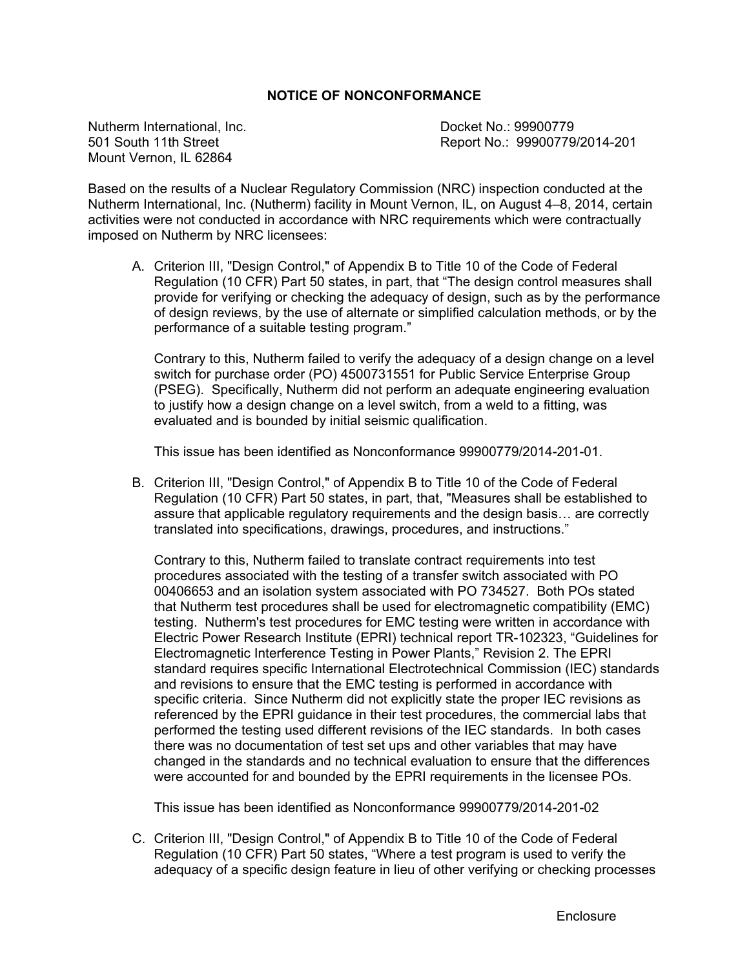### **NOTICE OF NONCONFORMANCE**

Nutherm International, Inc.<br>
501 South 11th Street<br>
601 South 11th Street<br>
Report No.: 99900779 Mount Vernon, IL 62864

Report No.: 99900779/2014-201

Based on the results of a Nuclear Regulatory Commission (NRC) inspection conducted at the Nutherm International, Inc. (Nutherm) facility in Mount Vernon, IL, on August 4–8, 2014, certain activities were not conducted in accordance with NRC requirements which were contractually imposed on Nutherm by NRC licensees:

A. Criterion III, "Design Control," of Appendix B to Title 10 of the Code of Federal Regulation (10 CFR) Part 50 states, in part, that "The design control measures shall provide for verifying or checking the adequacy of design, such as by the performance of design reviews, by the use of alternate or simplified calculation methods, or by the performance of a suitable testing program."

Contrary to this, Nutherm failed to verify the adequacy of a design change on a level switch for purchase order (PO) 4500731551 for Public Service Enterprise Group (PSEG). Specifically, Nutherm did not perform an adequate engineering evaluation to justify how a design change on a level switch, from a weld to a fitting, was evaluated and is bounded by initial seismic qualification.

This issue has been identified as Nonconformance 99900779/2014-201-01.

B. Criterion III, "Design Control," of Appendix B to Title 10 of the Code of Federal Regulation (10 CFR) Part 50 states, in part, that, "Measures shall be established to assure that applicable regulatory requirements and the design basis… are correctly translated into specifications, drawings, procedures, and instructions."

Contrary to this, Nutherm failed to translate contract requirements into test procedures associated with the testing of a transfer switch associated with PO 00406653 and an isolation system associated with PO 734527. Both POs stated that Nutherm test procedures shall be used for electromagnetic compatibility (EMC) testing. Nutherm's test procedures for EMC testing were written in accordance with Electric Power Research Institute (EPRI) technical report TR-102323, "Guidelines for Electromagnetic Interference Testing in Power Plants," Revision 2. The EPRI standard requires specific International Electrotechnical Commission (IEC) standards and revisions to ensure that the EMC testing is performed in accordance with specific criteria. Since Nutherm did not explicitly state the proper IEC revisions as referenced by the EPRI guidance in their test procedures, the commercial labs that performed the testing used different revisions of the IEC standards. In both cases there was no documentation of test set ups and other variables that may have changed in the standards and no technical evaluation to ensure that the differences were accounted for and bounded by the EPRI requirements in the licensee POs.

This issue has been identified as Nonconformance 99900779/2014-201-02

C. Criterion III, "Design Control," of Appendix B to Title 10 of the Code of Federal Regulation (10 CFR) Part 50 states, "Where a test program is used to verify the adequacy of a specific design feature in lieu of other verifying or checking processes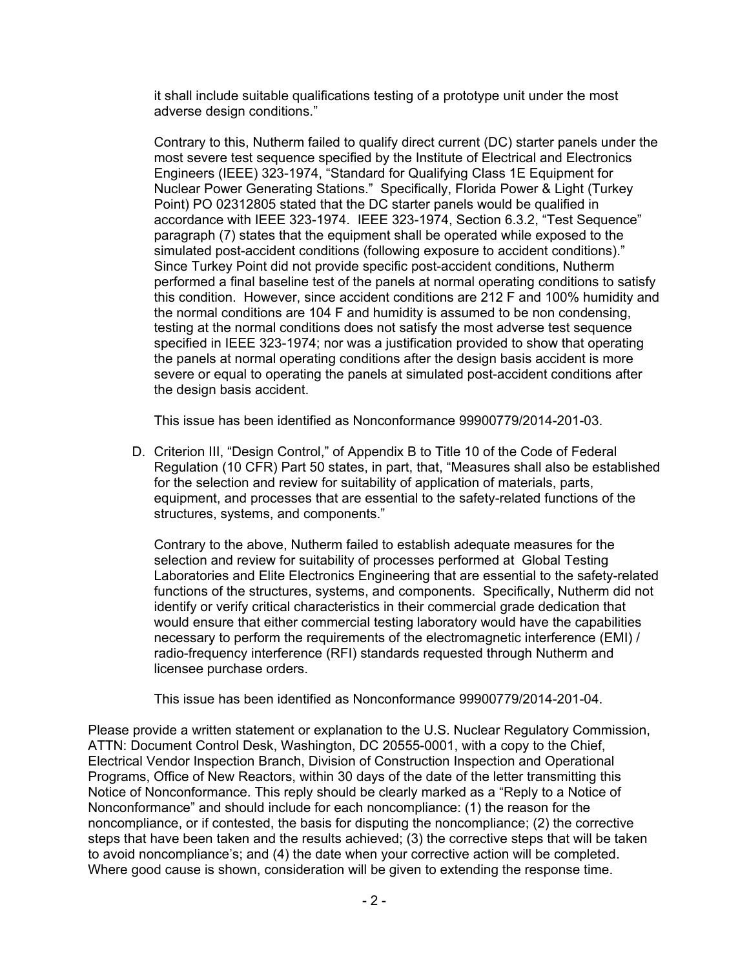it shall include suitable qualifications testing of a prototype unit under the most adverse design conditions."

Contrary to this, Nutherm failed to qualify direct current (DC) starter panels under the most severe test sequence specified by the Institute of Electrical and Electronics Engineers (IEEE) 323-1974, "Standard for Qualifying Class 1E Equipment for Nuclear Power Generating Stations." Specifically, Florida Power & Light (Turkey Point) PO 02312805 stated that the DC starter panels would be qualified in accordance with IEEE 323-1974. IEEE 323-1974, Section 6.3.2, "Test Sequence" paragraph (7) states that the equipment shall be operated while exposed to the simulated post-accident conditions (following exposure to accident conditions)." Since Turkey Point did not provide specific post-accident conditions, Nutherm performed a final baseline test of the panels at normal operating conditions to satisfy this condition. However, since accident conditions are 212 F and 100% humidity and the normal conditions are 104 F and humidity is assumed to be non condensing, testing at the normal conditions does not satisfy the most adverse test sequence specified in IEEE 323-1974; nor was a justification provided to show that operating the panels at normal operating conditions after the design basis accident is more severe or equal to operating the panels at simulated post-accident conditions after the design basis accident.

This issue has been identified as Nonconformance 99900779/2014-201-03.

D. Criterion III, "Design Control," of Appendix B to Title 10 of the Code of Federal Regulation (10 CFR) Part 50 states, in part, that, "Measures shall also be established for the selection and review for suitability of application of materials, parts, equipment, and processes that are essential to the safety-related functions of the structures, systems, and components."

Contrary to the above, Nutherm failed to establish adequate measures for the selection and review for suitability of processes performed at Global Testing Laboratories and Elite Electronics Engineering that are essential to the safety-related functions of the structures, systems, and components. Specifically, Nutherm did not identify or verify critical characteristics in their commercial grade dedication that would ensure that either commercial testing laboratory would have the capabilities necessary to perform the requirements of the electromagnetic interference (EMI) / radio-frequency interference (RFI) standards requested through Nutherm and licensee purchase orders.

This issue has been identified as Nonconformance 99900779/2014-201-04.

Please provide a written statement or explanation to the U.S. Nuclear Regulatory Commission, ATTN: Document Control Desk, Washington, DC 20555-0001, with a copy to the Chief, Electrical Vendor Inspection Branch, Division of Construction Inspection and Operational Programs, Office of New Reactors, within 30 days of the date of the letter transmitting this Notice of Nonconformance. This reply should be clearly marked as a "Reply to a Notice of Nonconformance" and should include for each noncompliance: (1) the reason for the noncompliance, or if contested, the basis for disputing the noncompliance; (2) the corrective steps that have been taken and the results achieved; (3) the corrective steps that will be taken to avoid noncompliance's; and (4) the date when your corrective action will be completed. Where good cause is shown, consideration will be given to extending the response time.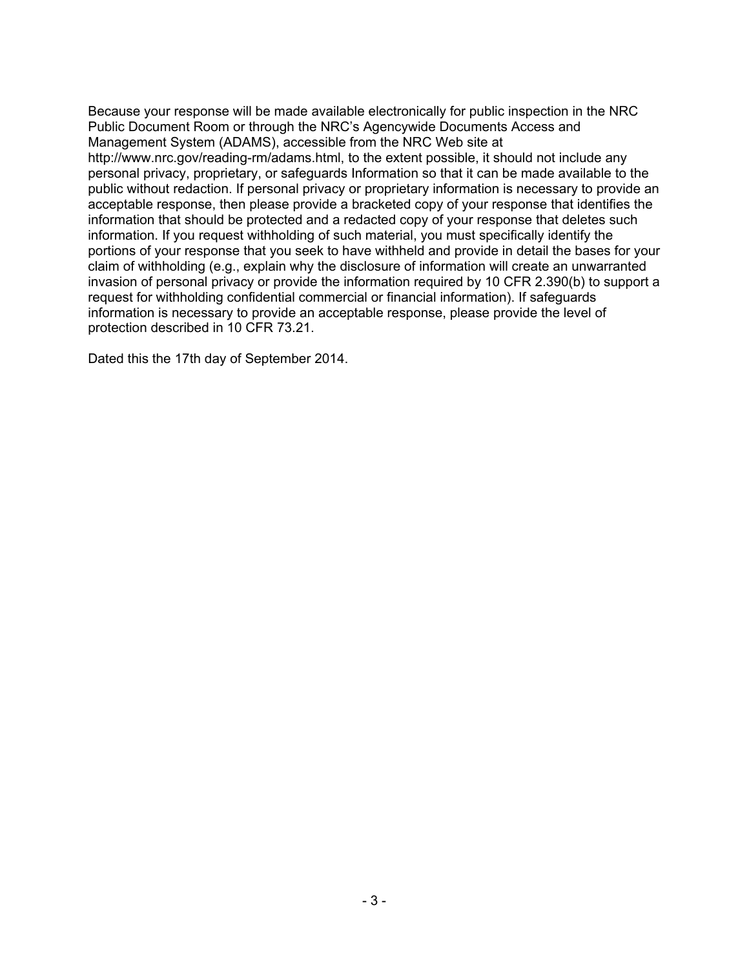Because your response will be made available electronically for public inspection in the NRC Public Document Room or through the NRC's Agencywide Documents Access and Management System (ADAMS), accessible from the NRC Web site at http://www.nrc.gov/reading-rm/adams.html, to the extent possible, it should not include any personal privacy, proprietary, or safeguards Information so that it can be made available to the public without redaction. If personal privacy or proprietary information is necessary to provide an acceptable response, then please provide a bracketed copy of your response that identifies the information that should be protected and a redacted copy of your response that deletes such information. If you request withholding of such material, you must specifically identify the portions of your response that you seek to have withheld and provide in detail the bases for your claim of withholding (e.g., explain why the disclosure of information will create an unwarranted invasion of personal privacy or provide the information required by 10 CFR 2.390(b) to support a request for withholding confidential commercial or financial information). If safeguards information is necessary to provide an acceptable response, please provide the level of protection described in 10 CFR 73.21.

Dated this the 17th day of September 2014.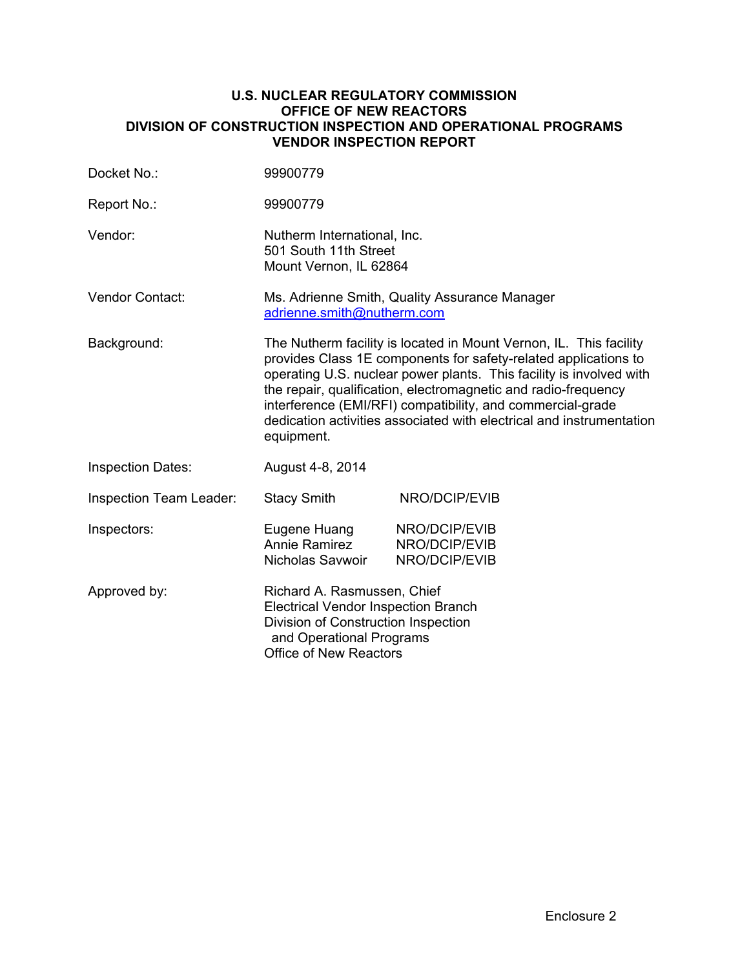#### **U.S. NUCLEAR REGULATORY COMMISSION OFFICE OF NEW REACTORS DIVISION OF CONSTRUCTION INSPECTION AND OPERATIONAL PROGRAMS VENDOR INSPECTION REPORT**

| Docket No.:              | 99900779                                                                                                                                                                                                                                                                                                                                                                                                                           |                                                 |  |
|--------------------------|------------------------------------------------------------------------------------------------------------------------------------------------------------------------------------------------------------------------------------------------------------------------------------------------------------------------------------------------------------------------------------------------------------------------------------|-------------------------------------------------|--|
| Report No.:              | 99900779                                                                                                                                                                                                                                                                                                                                                                                                                           |                                                 |  |
| Vendor:                  | Nutherm International, Inc.<br>501 South 11th Street<br>Mount Vernon, IL 62864                                                                                                                                                                                                                                                                                                                                                     |                                                 |  |
| <b>Vendor Contact:</b>   | Ms. Adrienne Smith, Quality Assurance Manager<br>adrienne.smith@nutherm.com                                                                                                                                                                                                                                                                                                                                                        |                                                 |  |
| Background:              | The Nutherm facility is located in Mount Vernon, IL. This facility<br>provides Class 1E components for safety-related applications to<br>operating U.S. nuclear power plants. This facility is involved with<br>the repair, qualification, electromagnetic and radio-frequency<br>interference (EMI/RFI) compatibility, and commercial-grade<br>dedication activities associated with electrical and instrumentation<br>equipment. |                                                 |  |
| <b>Inspection Dates:</b> | August 4-8, 2014                                                                                                                                                                                                                                                                                                                                                                                                                   |                                                 |  |
| Inspection Team Leader:  | <b>Stacy Smith</b>                                                                                                                                                                                                                                                                                                                                                                                                                 | NRO/DCIP/EVIB                                   |  |
| Inspectors:              | Eugene Huang<br><b>Annie Ramirez</b><br>Nicholas Savwoir                                                                                                                                                                                                                                                                                                                                                                           | NRO/DCIP/EVIB<br>NRO/DCIP/EVIB<br>NRO/DCIP/EVIB |  |
| Approved by:             | Richard A. Rasmussen, Chief<br>Electrical Vendor Inspection Branch<br>Division of Construction Inspection<br>and Operational Programs<br><b>Office of New Reactors</b>                                                                                                                                                                                                                                                             |                                                 |  |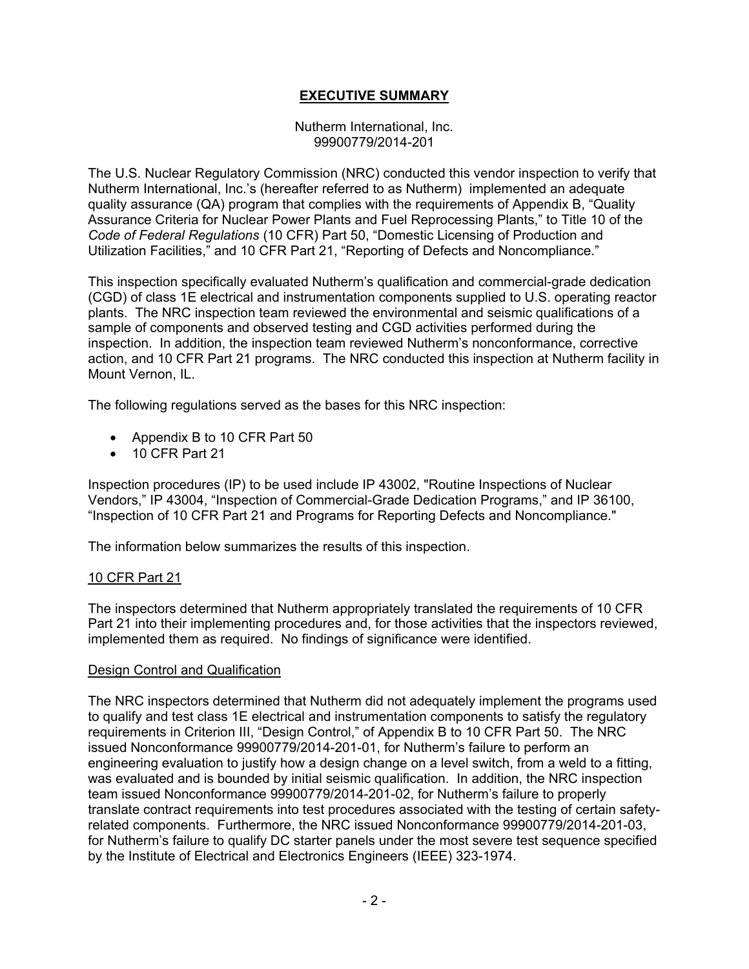# **EXECUTIVE SUMMARY**

#### Nutherm International, Inc. 99900779/2014-201

The U.S. Nuclear Regulatory Commission (NRC) conducted this vendor inspection to verify that Nutherm International, Inc.'s (hereafter referred to as Nutherm) implemented an adequate quality assurance (QA) program that complies with the requirements of Appendix B, "Quality Assurance Criteria for Nuclear Power Plants and Fuel Reprocessing Plants," to Title 10 of the *Code of Federal Regulations* (10 CFR) Part 50, "Domestic Licensing of Production and Utilization Facilities," and 10 CFR Part 21, "Reporting of Defects and Noncompliance."

This inspection specifically evaluated Nutherm's qualification and commercial-grade dedication (CGD) of class 1E electrical and instrumentation components supplied to U.S. operating reactor plants. The NRC inspection team reviewed the environmental and seismic qualifications of a sample of components and observed testing and CGD activities performed during the inspection. In addition, the inspection team reviewed Nutherm's nonconformance, corrective action, and 10 CFR Part 21 programs. The NRC conducted this inspection at Nutherm facility in Mount Vernon, IL.

The following regulations served as the bases for this NRC inspection:

- Appendix B to 10 CFR Part 50
- 10 CFR Part 21

Inspection procedures (IP) to be used include IP 43002, "Routine Inspections of Nuclear Vendors," IP 43004, "Inspection of Commercial-Grade Dedication Programs," and IP 36100, "Inspection of 10 CFR Part 21 and Programs for Reporting Defects and Noncompliance."

The information below summarizes the results of this inspection.

### 10 CFR Part 21

The inspectors determined that Nutherm appropriately translated the requirements of 10 CFR Part 21 into their implementing procedures and, for those activities that the inspectors reviewed, implemented them as required. No findings of significance were identified.

#### Design Control and Qualification

The NRC inspectors determined that Nutherm did not adequately implement the programs used to qualify and test class 1E electrical and instrumentation components to satisfy the regulatory requirements in Criterion III, "Design Control," of Appendix B to 10 CFR Part 50. The NRC issued Nonconformance 99900779/2014-201-01, for Nutherm's failure to perform an engineering evaluation to justify how a design change on a level switch, from a weld to a fitting, was evaluated and is bounded by initial seismic qualification. In addition, the NRC inspection team issued Nonconformance 99900779/2014-201-02, for Nutherm's failure to properly translate contract requirements into test procedures associated with the testing of certain safetyrelated components. Furthermore, the NRC issued Nonconformance 99900779/2014-201-03, for Nutherm's failure to qualify DC starter panels under the most severe test sequence specified by the Institute of Electrical and Electronics Engineers (IEEE) 323-1974.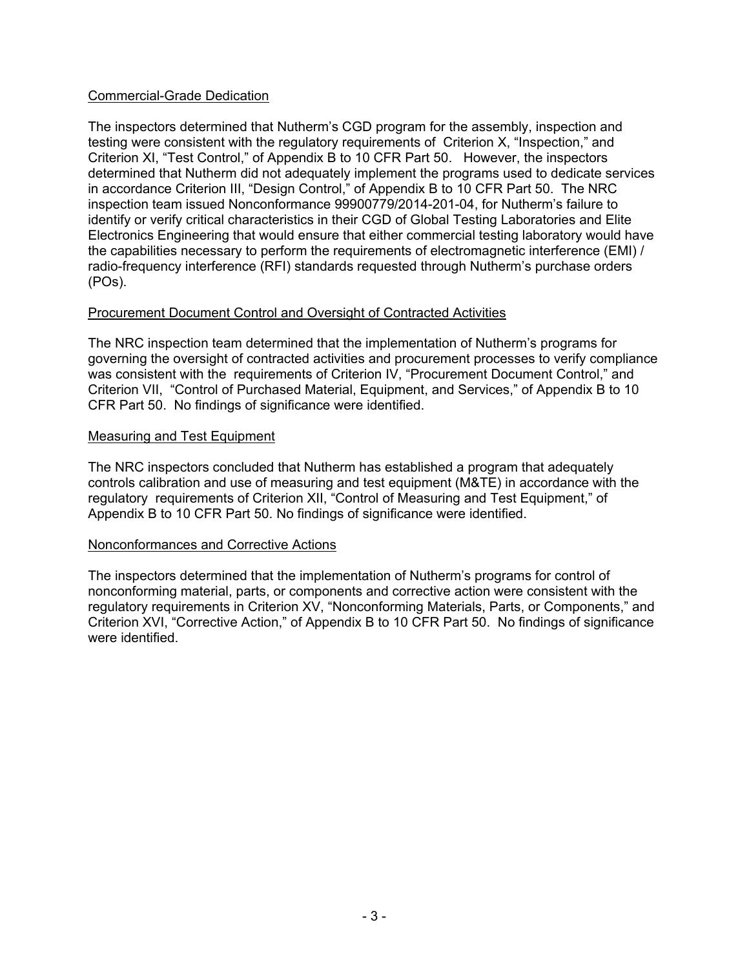### Commercial-Grade Dedication

The inspectors determined that Nutherm's CGD program for the assembly, inspection and testing were consistent with the regulatory requirements of Criterion X, "Inspection," and Criterion XI, "Test Control," of Appendix B to 10 CFR Part 50. However, the inspectors determined that Nutherm did not adequately implement the programs used to dedicate services in accordance Criterion III, "Design Control," of Appendix B to 10 CFR Part 50. The NRC inspection team issued Nonconformance 99900779/2014-201-04, for Nutherm's failure to identify or verify critical characteristics in their CGD of Global Testing Laboratories and Elite Electronics Engineering that would ensure that either commercial testing laboratory would have the capabilities necessary to perform the requirements of electromagnetic interference (EMI) / radio-frequency interference (RFI) standards requested through Nutherm's purchase orders (POs).

### Procurement Document Control and Oversight of Contracted Activities

The NRC inspection team determined that the implementation of Nutherm's programs for governing the oversight of contracted activities and procurement processes to verify compliance was consistent with the requirements of Criterion IV, "Procurement Document Control," and Criterion VII, "Control of Purchased Material, Equipment, and Services," of Appendix B to 10 CFR Part 50. No findings of significance were identified.

### Measuring and Test Equipment

The NRC inspectors concluded that Nutherm has established a program that adequately controls calibration and use of measuring and test equipment (M&TE) in accordance with the regulatory requirements of Criterion XII, "Control of Measuring and Test Equipment," of Appendix B to 10 CFR Part 50. No findings of significance were identified.

### Nonconformances and Corrective Actions

The inspectors determined that the implementation of Nutherm's programs for control of nonconforming material, parts, or components and corrective action were consistent with the regulatory requirements in Criterion XV, "Nonconforming Materials, Parts, or Components," and Criterion XVI, "Corrective Action," of Appendix B to 10 CFR Part 50. No findings of significance were identified.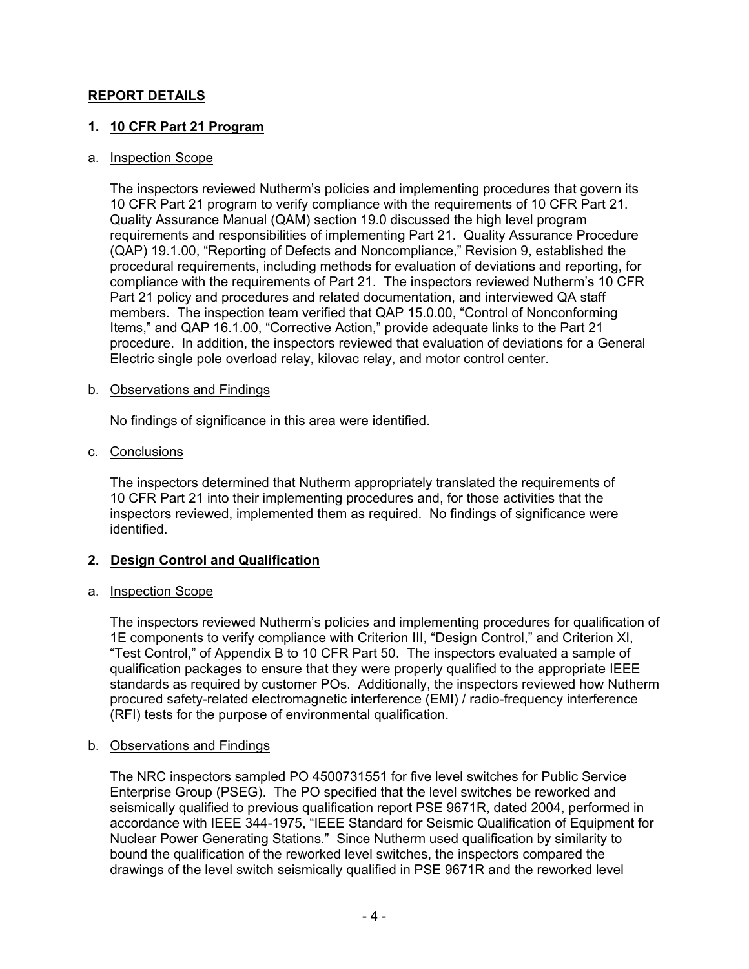### **REPORT DETAILS**

### **1. 10 CFR Part 21 Program**

#### a. Inspection Scope

The inspectors reviewed Nutherm's policies and implementing procedures that govern its 10 CFR Part 21 program to verify compliance with the requirements of 10 CFR Part 21. Quality Assurance Manual (QAM) section 19.0 discussed the high level program requirements and responsibilities of implementing Part 21. Quality Assurance Procedure (QAP) 19.1.00, "Reporting of Defects and Noncompliance," Revision 9, established the procedural requirements, including methods for evaluation of deviations and reporting, for compliance with the requirements of Part 21. The inspectors reviewed Nutherm's 10 CFR Part 21 policy and procedures and related documentation, and interviewed QA staff members. The inspection team verified that QAP 15.0.00, "Control of Nonconforming Items," and QAP 16.1.00, "Corrective Action," provide adequate links to the Part 21 procedure. In addition, the inspectors reviewed that evaluation of deviations for a General Electric single pole overload relay, kilovac relay, and motor control center.

#### b. Observations and Findings

No findings of significance in this area were identified.

c. Conclusions

The inspectors determined that Nutherm appropriately translated the requirements of 10 CFR Part 21 into their implementing procedures and, for those activities that the inspectors reviewed, implemented them as required. No findings of significance were identified.

### **2. Design Control and Qualification**

### a. Inspection Scope

The inspectors reviewed Nutherm's policies and implementing procedures for qualification of 1E components to verify compliance with Criterion III, "Design Control," and Criterion XI, "Test Control," of Appendix B to 10 CFR Part 50. The inspectors evaluated a sample of qualification packages to ensure that they were properly qualified to the appropriate IEEE standards as required by customer POs. Additionally, the inspectors reviewed how Nutherm procured safety-related electromagnetic interference (EMI) / radio-frequency interference (RFI) tests for the purpose of environmental qualification.

### b. Observations and Findings

The NRC inspectors sampled PO 4500731551 for five level switches for Public Service Enterprise Group (PSEG). The PO specified that the level switches be reworked and seismically qualified to previous qualification report PSE 9671R, dated 2004, performed in accordance with IEEE 344-1975, "IEEE Standard for Seismic Qualification of Equipment for Nuclear Power Generating Stations." Since Nutherm used qualification by similarity to bound the qualification of the reworked level switches, the inspectors compared the drawings of the level switch seismically qualified in PSE 9671R and the reworked level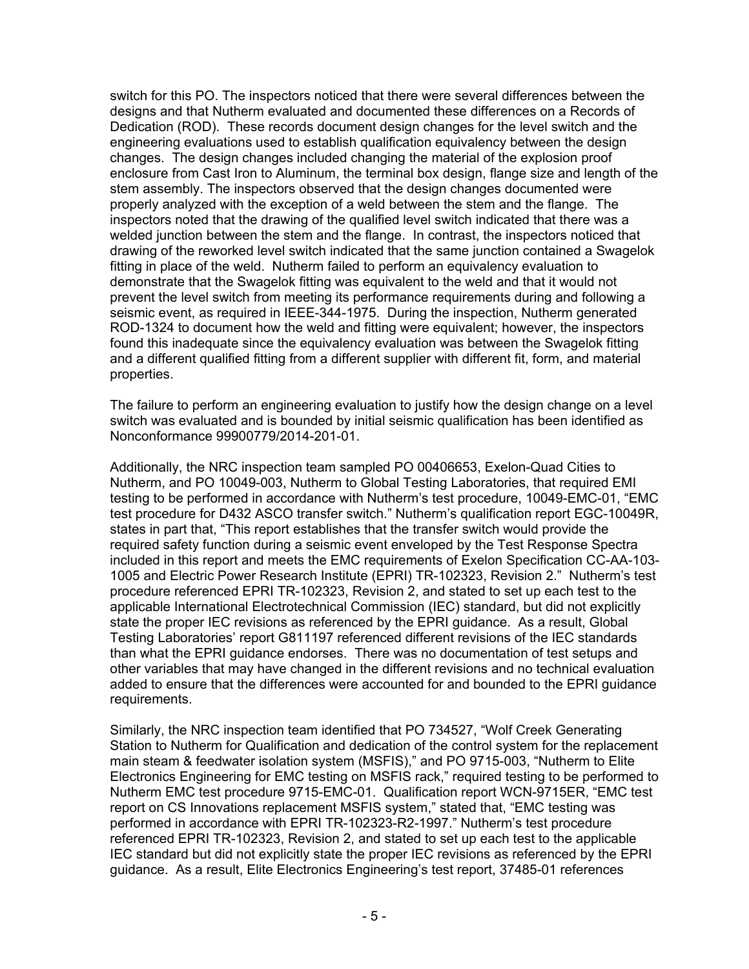switch for this PO. The inspectors noticed that there were several differences between the designs and that Nutherm evaluated and documented these differences on a Records of Dedication (ROD). These records document design changes for the level switch and the engineering evaluations used to establish qualification equivalency between the design changes. The design changes included changing the material of the explosion proof enclosure from Cast Iron to Aluminum, the terminal box design, flange size and length of the stem assembly. The inspectors observed that the design changes documented were properly analyzed with the exception of a weld between the stem and the flange. The inspectors noted that the drawing of the qualified level switch indicated that there was a welded junction between the stem and the flange. In contrast, the inspectors noticed that drawing of the reworked level switch indicated that the same junction contained a Swagelok fitting in place of the weld. Nutherm failed to perform an equivalency evaluation to demonstrate that the Swagelok fitting was equivalent to the weld and that it would not prevent the level switch from meeting its performance requirements during and following a seismic event, as required in IEEE-344-1975. During the inspection, Nutherm generated ROD-1324 to document how the weld and fitting were equivalent; however, the inspectors found this inadequate since the equivalency evaluation was between the Swagelok fitting and a different qualified fitting from a different supplier with different fit, form, and material properties.

The failure to perform an engineering evaluation to justify how the design change on a level switch was evaluated and is bounded by initial seismic qualification has been identified as Nonconformance 99900779/2014-201-01.

Additionally, the NRC inspection team sampled PO 00406653, Exelon-Quad Cities to Nutherm, and PO 10049-003, Nutherm to Global Testing Laboratories, that required EMI testing to be performed in accordance with Nutherm's test procedure, 10049-EMC-01, "EMC test procedure for D432 ASCO transfer switch." Nutherm's qualification report EGC-10049R, states in part that, "This report establishes that the transfer switch would provide the required safety function during a seismic event enveloped by the Test Response Spectra included in this report and meets the EMC requirements of Exelon Specification CC-AA-103- 1005 and Electric Power Research Institute (EPRI) TR-102323, Revision 2." Nutherm's test procedure referenced EPRI TR-102323, Revision 2, and stated to set up each test to the applicable International Electrotechnical Commission (IEC) standard, but did not explicitly state the proper IEC revisions as referenced by the EPRI guidance. As a result, Global Testing Laboratories' report G811197 referenced different revisions of the IEC standards than what the EPRI guidance endorses. There was no documentation of test setups and other variables that may have changed in the different revisions and no technical evaluation added to ensure that the differences were accounted for and bounded to the EPRI guidance requirements.

Similarly, the NRC inspection team identified that PO 734527, "Wolf Creek Generating Station to Nutherm for Qualification and dedication of the control system for the replacement main steam & feedwater isolation system (MSFIS)," and PO 9715-003, "Nutherm to Elite Electronics Engineering for EMC testing on MSFIS rack," required testing to be performed to Nutherm EMC test procedure 9715-EMC-01. Qualification report WCN-9715ER, "EMC test report on CS Innovations replacement MSFIS system," stated that, "EMC testing was performed in accordance with EPRI TR-102323-R2-1997." Nutherm's test procedure referenced EPRI TR-102323, Revision 2, and stated to set up each test to the applicable IEC standard but did not explicitly state the proper IEC revisions as referenced by the EPRI guidance. As a result, Elite Electronics Engineering's test report, 37485-01 references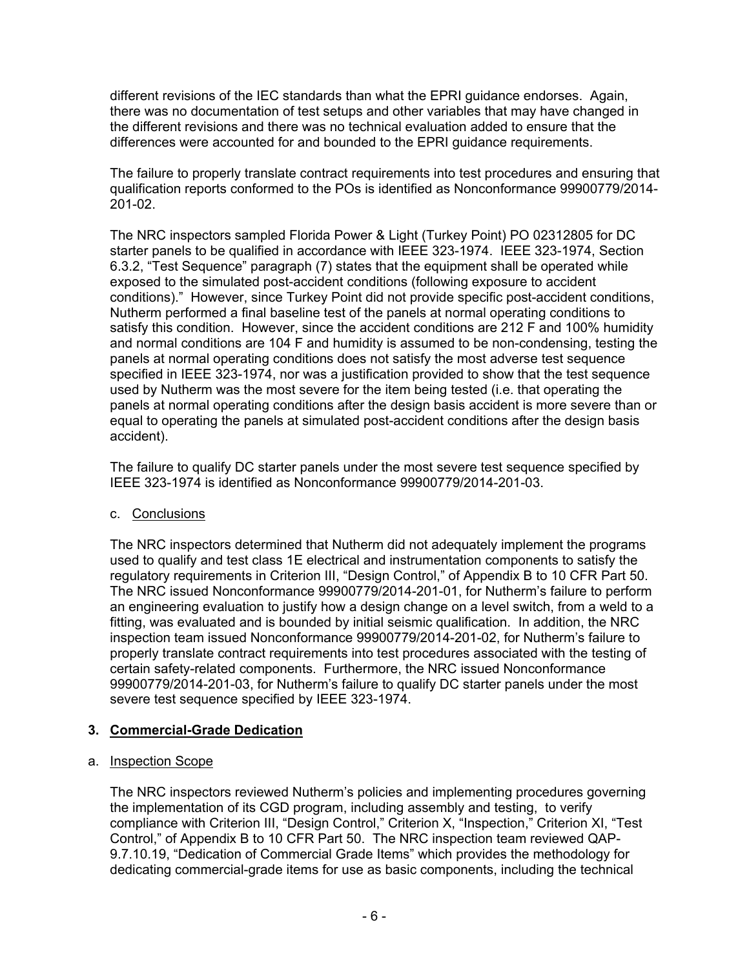different revisions of the IEC standards than what the EPRI guidance endorses. Again, there was no documentation of test setups and other variables that may have changed in the different revisions and there was no technical evaluation added to ensure that the differences were accounted for and bounded to the EPRI guidance requirements.

The failure to properly translate contract requirements into test procedures and ensuring that qualification reports conformed to the POs is identified as Nonconformance 99900779/2014- 201-02.

The NRC inspectors sampled Florida Power & Light (Turkey Point) PO 02312805 for DC starter panels to be qualified in accordance with IEEE 323-1974. IEEE 323-1974, Section 6.3.2, "Test Sequence" paragraph (7) states that the equipment shall be operated while exposed to the simulated post-accident conditions (following exposure to accident conditions)." However, since Turkey Point did not provide specific post-accident conditions, Nutherm performed a final baseline test of the panels at normal operating conditions to satisfy this condition. However, since the accident conditions are 212 F and 100% humidity and normal conditions are 104 F and humidity is assumed to be non-condensing, testing the panels at normal operating conditions does not satisfy the most adverse test sequence specified in IEEE 323-1974, nor was a justification provided to show that the test sequence used by Nutherm was the most severe for the item being tested (i.e. that operating the panels at normal operating conditions after the design basis accident is more severe than or equal to operating the panels at simulated post-accident conditions after the design basis accident).

The failure to qualify DC starter panels under the most severe test sequence specified by IEEE 323-1974 is identified as Nonconformance 99900779/2014-201-03.

# c. Conclusions

The NRC inspectors determined that Nutherm did not adequately implement the programs used to qualify and test class 1E electrical and instrumentation components to satisfy the regulatory requirements in Criterion III, "Design Control," of Appendix B to 10 CFR Part 50. The NRC issued Nonconformance 99900779/2014-201-01, for Nutherm's failure to perform an engineering evaluation to justify how a design change on a level switch, from a weld to a fitting, was evaluated and is bounded by initial seismic qualification. In addition, the NRC inspection team issued Nonconformance 99900779/2014-201-02, for Nutherm's failure to properly translate contract requirements into test procedures associated with the testing of certain safety-related components. Furthermore, the NRC issued Nonconformance 99900779/2014-201-03, for Nutherm's failure to qualify DC starter panels under the most severe test sequence specified by IEEE 323-1974.

# **3. Commercial-Grade Dedication**

### a. Inspection Scope

The NRC inspectors reviewed Nutherm's policies and implementing procedures governing the implementation of its CGD program, including assembly and testing, to verify compliance with Criterion III, "Design Control," Criterion X, "Inspection," Criterion XI, "Test Control," of Appendix B to 10 CFR Part 50. The NRC inspection team reviewed QAP-9.7.10.19, "Dedication of Commercial Grade Items" which provides the methodology for dedicating commercial-grade items for use as basic components, including the technical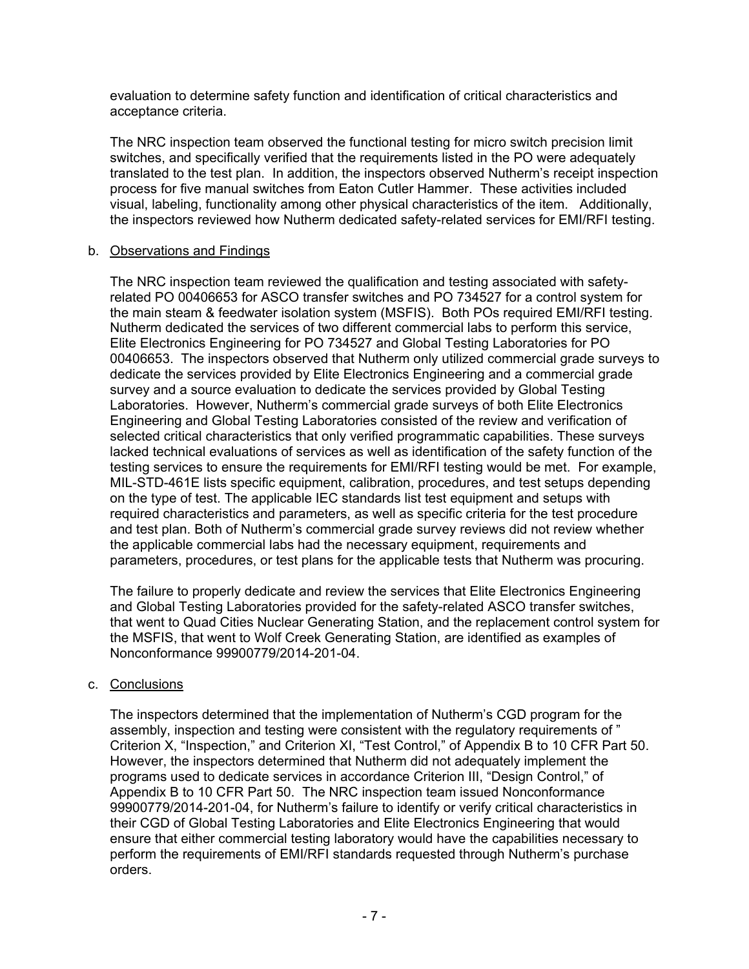evaluation to determine safety function and identification of critical characteristics and acceptance criteria.

The NRC inspection team observed the functional testing for micro switch precision limit switches, and specifically verified that the requirements listed in the PO were adequately translated to the test plan. In addition, the inspectors observed Nutherm's receipt inspection process for five manual switches from Eaton Cutler Hammer. These activities included visual, labeling, functionality among other physical characteristics of the item. Additionally, the inspectors reviewed how Nutherm dedicated safety-related services for EMI/RFI testing.

### b. Observations and Findings

The NRC inspection team reviewed the qualification and testing associated with safetyrelated PO 00406653 for ASCO transfer switches and PO 734527 for a control system for the main steam & feedwater isolation system (MSFIS). Both POs required EMI/RFI testing. Nutherm dedicated the services of two different commercial labs to perform this service, Elite Electronics Engineering for PO 734527 and Global Testing Laboratories for PO 00406653. The inspectors observed that Nutherm only utilized commercial grade surveys to dedicate the services provided by Elite Electronics Engineering and a commercial grade survey and a source evaluation to dedicate the services provided by Global Testing Laboratories. However, Nutherm's commercial grade surveys of both Elite Electronics Engineering and Global Testing Laboratories consisted of the review and verification of selected critical characteristics that only verified programmatic capabilities. These surveys lacked technical evaluations of services as well as identification of the safety function of the testing services to ensure the requirements for EMI/RFI testing would be met. For example, MIL-STD-461E lists specific equipment, calibration, procedures, and test setups depending on the type of test. The applicable IEC standards list test equipment and setups with required characteristics and parameters, as well as specific criteria for the test procedure and test plan. Both of Nutherm's commercial grade survey reviews did not review whether the applicable commercial labs had the necessary equipment, requirements and parameters, procedures, or test plans for the applicable tests that Nutherm was procuring.

The failure to properly dedicate and review the services that Elite Electronics Engineering and Global Testing Laboratories provided for the safety-related ASCO transfer switches, that went to Quad Cities Nuclear Generating Station, and the replacement control system for the MSFIS, that went to Wolf Creek Generating Station, are identified as examples of Nonconformance 99900779/2014-201-04.

# c. Conclusions

The inspectors determined that the implementation of Nutherm's CGD program for the assembly, inspection and testing were consistent with the regulatory requirements of " Criterion X, "Inspection," and Criterion XI, "Test Control," of Appendix B to 10 CFR Part 50. However, the inspectors determined that Nutherm did not adequately implement the programs used to dedicate services in accordance Criterion III, "Design Control," of Appendix B to 10 CFR Part 50. The NRC inspection team issued Nonconformance 99900779/2014-201-04, for Nutherm's failure to identify or verify critical characteristics in their CGD of Global Testing Laboratories and Elite Electronics Engineering that would ensure that either commercial testing laboratory would have the capabilities necessary to perform the requirements of EMI/RFI standards requested through Nutherm's purchase orders.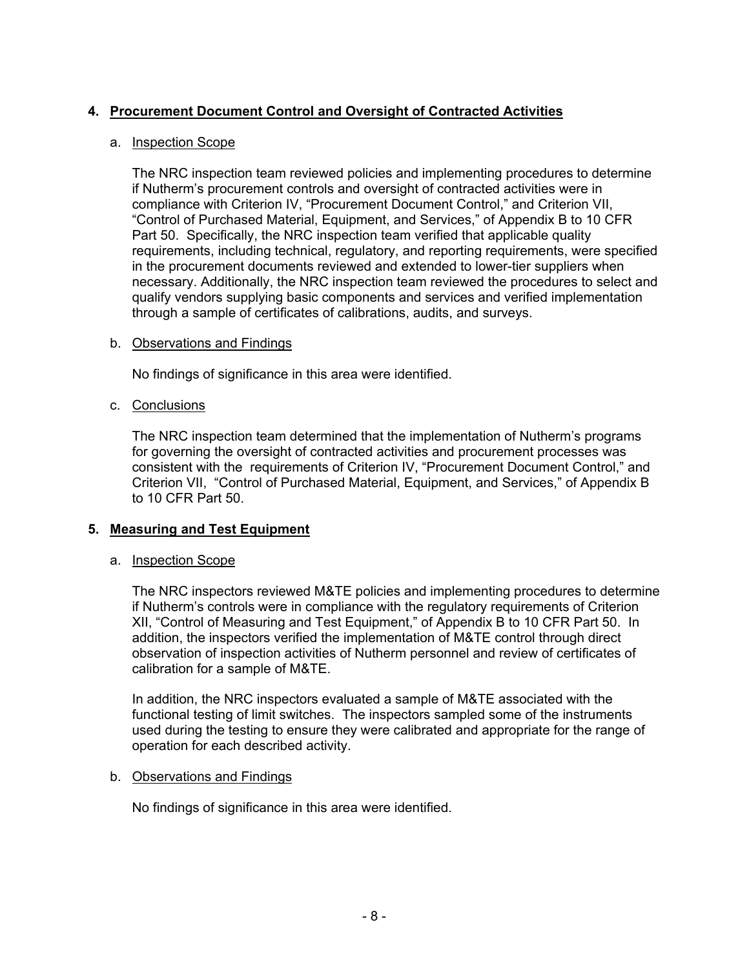# **4. Procurement Document Control and Oversight of Contracted Activities**

### a. Inspection Scope

The NRC inspection team reviewed policies and implementing procedures to determine if Nutherm's procurement controls and oversight of contracted activities were in compliance with Criterion IV, "Procurement Document Control," and Criterion VII, "Control of Purchased Material, Equipment, and Services," of Appendix B to 10 CFR Part 50. Specifically, the NRC inspection team verified that applicable quality requirements, including technical, regulatory, and reporting requirements, were specified in the procurement documents reviewed and extended to lower-tier suppliers when necessary. Additionally, the NRC inspection team reviewed the procedures to select and qualify vendors supplying basic components and services and verified implementation through a sample of certificates of calibrations, audits, and surveys.

#### b. Observations and Findings

No findings of significance in this area were identified.

c. Conclusions

The NRC inspection team determined that the implementation of Nutherm's programs for governing the oversight of contracted activities and procurement processes was consistent with the requirements of Criterion IV, "Procurement Document Control," and Criterion VII, "Control of Purchased Material, Equipment, and Services," of Appendix B to 10 CFR Part 50.

### **5. Measuring and Test Equipment**

### a. Inspection Scope

The NRC inspectors reviewed M&TE policies and implementing procedures to determine if Nutherm's controls were in compliance with the regulatory requirements of Criterion XII, "Control of Measuring and Test Equipment," of Appendix B to 10 CFR Part 50. In addition, the inspectors verified the implementation of M&TE control through direct observation of inspection activities of Nutherm personnel and review of certificates of calibration for a sample of M&TE.

In addition, the NRC inspectors evaluated a sample of M&TE associated with the functional testing of limit switches. The inspectors sampled some of the instruments used during the testing to ensure they were calibrated and appropriate for the range of operation for each described activity.

### b. Observations and Findings

No findings of significance in this area were identified.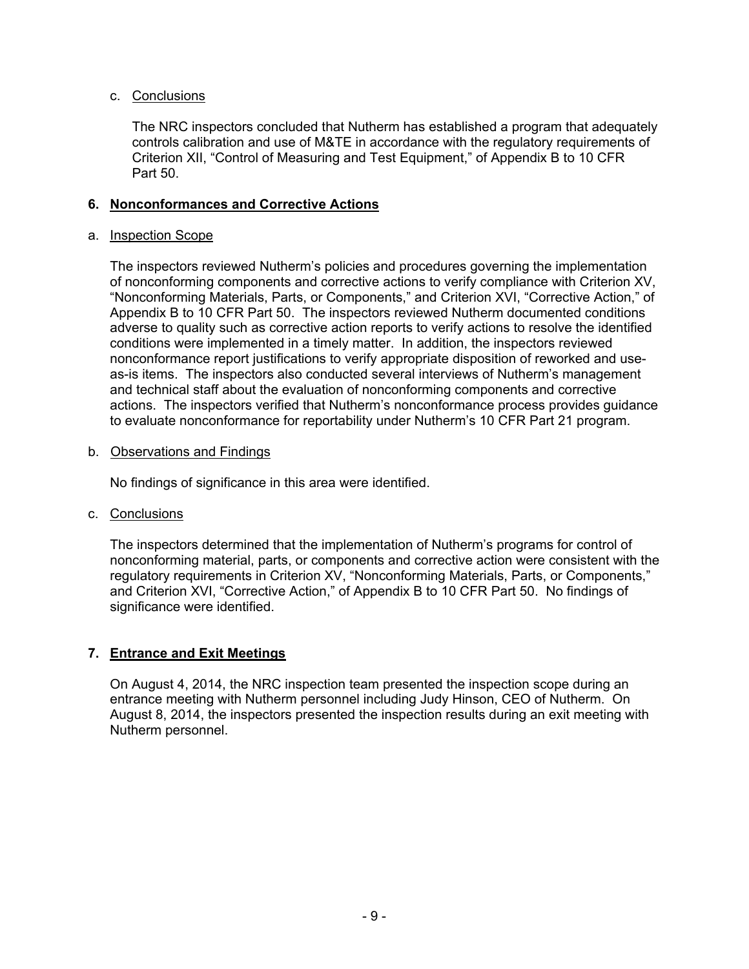### c. Conclusions

The NRC inspectors concluded that Nutherm has established a program that adequately controls calibration and use of M&TE in accordance with the regulatory requirements of Criterion XII, "Control of Measuring and Test Equipment," of Appendix B to 10 CFR Part 50.

### **6. Nonconformances and Corrective Actions**

### a. Inspection Scope

The inspectors reviewed Nutherm's policies and procedures governing the implementation of nonconforming components and corrective actions to verify compliance with Criterion XV, "Nonconforming Materials, Parts, or Components," and Criterion XVI, "Corrective Action," of Appendix B to 10 CFR Part 50. The inspectors reviewed Nutherm documented conditions adverse to quality such as corrective action reports to verify actions to resolve the identified conditions were implemented in a timely matter. In addition, the inspectors reviewed nonconformance report justifications to verify appropriate disposition of reworked and useas-is items. The inspectors also conducted several interviews of Nutherm's management and technical staff about the evaluation of nonconforming components and corrective actions. The inspectors verified that Nutherm's nonconformance process provides guidance to evaluate nonconformance for reportability under Nutherm's 10 CFR Part 21 program.

### b. Observations and Findings

No findings of significance in this area were identified.

# c. Conclusions

The inspectors determined that the implementation of Nutherm's programs for control of nonconforming material, parts, or components and corrective action were consistent with the regulatory requirements in Criterion XV, "Nonconforming Materials, Parts, or Components," and Criterion XVI, "Corrective Action," of Appendix B to 10 CFR Part 50. No findings of significance were identified.

# **7. Entrance and Exit Meetings**

On August 4, 2014, the NRC inspection team presented the inspection scope during an entrance meeting with Nutherm personnel including Judy Hinson, CEO of Nutherm. On August 8, 2014, the inspectors presented the inspection results during an exit meeting with Nutherm personnel.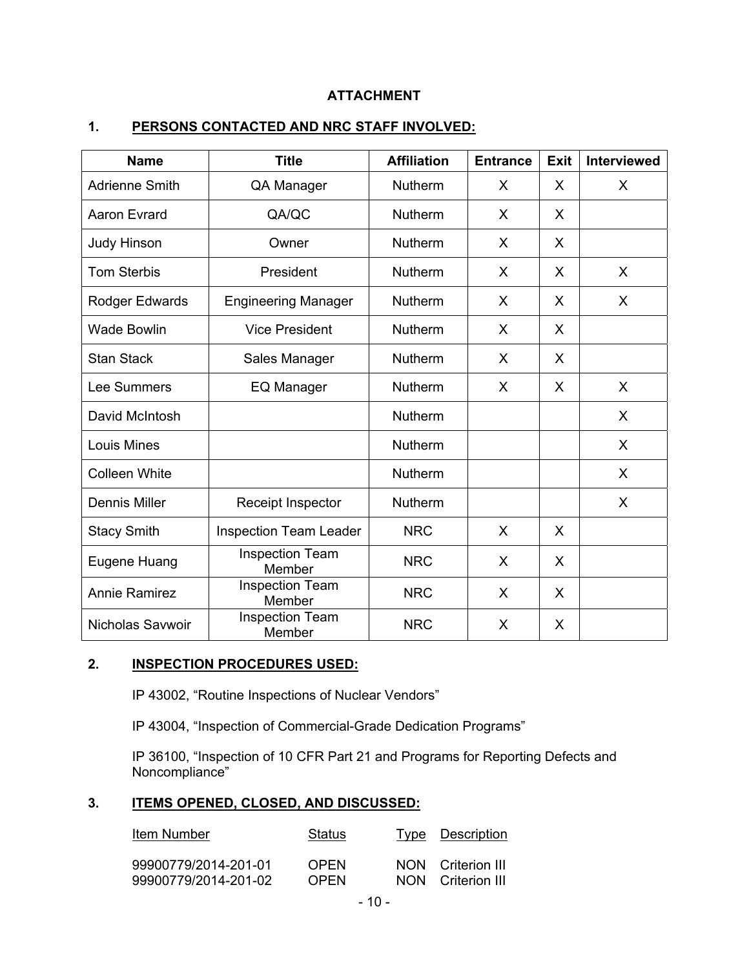# **ATTACHMENT**

| <b>Name</b>           | <b>Title</b>                     | <b>Affiliation</b> | <b>Entrance</b> | <b>Exit</b> | <b>Interviewed</b> |
|-----------------------|----------------------------------|--------------------|-----------------|-------------|--------------------|
| <b>Adrienne Smith</b> | QA Manager                       | <b>Nutherm</b>     | X               | X           | X                  |
| <b>Aaron Evrard</b>   | QA/QC                            | <b>Nutherm</b>     | X               | X           |                    |
| <b>Judy Hinson</b>    | Owner                            | <b>Nutherm</b>     | X               | X           |                    |
| <b>Tom Sterbis</b>    | President                        | <b>Nutherm</b>     | X               | X           | X                  |
| Rodger Edwards        | <b>Engineering Manager</b>       | <b>Nutherm</b>     | X               | X           | X                  |
| <b>Wade Bowlin</b>    | <b>Vice President</b>            | <b>Nutherm</b>     | X               | X           |                    |
| <b>Stan Stack</b>     | Sales Manager                    | Nutherm            | X               | X           |                    |
| Lee Summers           | EQ Manager                       | Nutherm            | X               | X           | X                  |
| David McIntosh        |                                  | Nutherm            |                 |             | X                  |
| Louis Mines           |                                  | Nutherm            |                 |             | X                  |
| <b>Colleen White</b>  |                                  | Nutherm            |                 |             | X                  |
| <b>Dennis Miller</b>  | Receipt Inspector                | Nutherm            |                 |             | X                  |
| <b>Stacy Smith</b>    | <b>Inspection Team Leader</b>    | <b>NRC</b>         | X               | X           |                    |
| Eugene Huang          | <b>Inspection Team</b><br>Member | <b>NRC</b>         | X               | X           |                    |
| <b>Annie Ramirez</b>  | <b>Inspection Team</b><br>Member | <b>NRC</b>         | X               | X           |                    |
| Nicholas Savwoir      | <b>Inspection Team</b><br>Member | <b>NRC</b>         | X               | X           |                    |

### **1. PERSONS CONTACTED AND NRC STAFF INVOLVED:**

### **2. INSPECTION PROCEDURES USED:**

IP 43002, "Routine Inspections of Nuclear Vendors"

IP 43004, "Inspection of Commercial-Grade Dedication Programs"

IP 36100, "Inspection of 10 CFR Part 21 and Programs for Reporting Defects and Noncompliance"

### **3. ITEMS OPENED, CLOSED, AND DISCUSSED:**

| Item Number          | Status      | <u>Type Description</u> |
|----------------------|-------------|-------------------------|
| 99900779/2014-201-01 | <b>OPEN</b> | NON Criterion III       |
| 99900779/2014-201-02 | OPFN        | NON Criterion III       |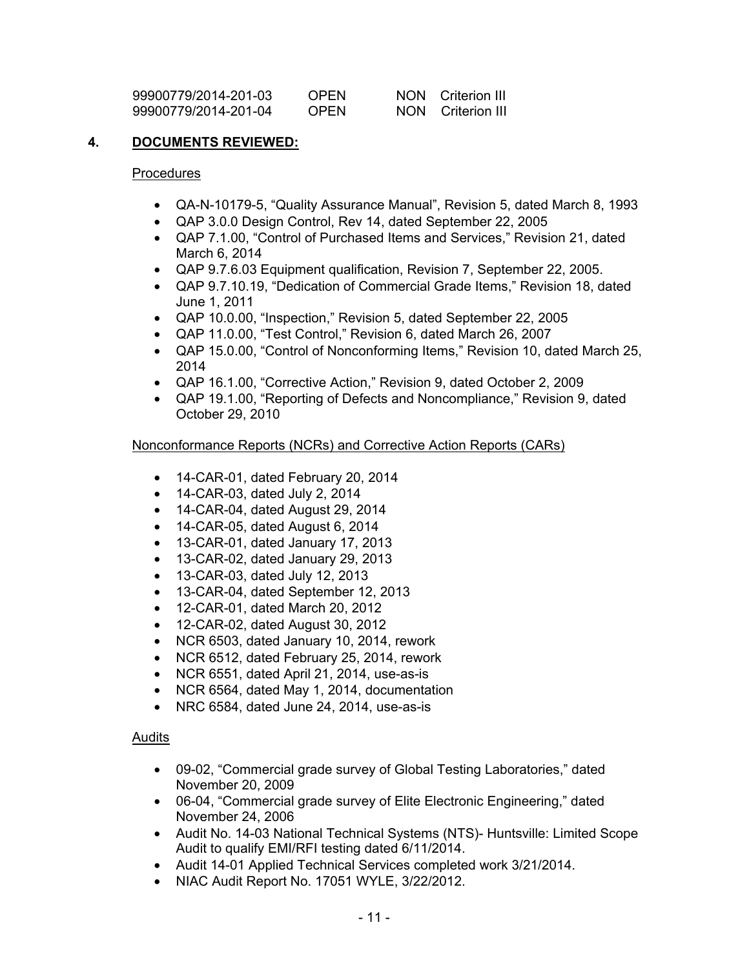| 99900779/2014-201-03 | <b>OPEN</b> | NON. | Criterion III |
|----------------------|-------------|------|---------------|
| 99900779/2014-201-04 | <b>OPEN</b> | NON. | Criterion III |

### **4. DOCUMENTS REVIEWED:**

#### Procedures

- QA-N-10179-5, "Quality Assurance Manual", Revision 5, dated March 8, 1993
- QAP 3.0.0 Design Control, Rev 14, dated September 22, 2005
- QAP 7.1.00, "Control of Purchased Items and Services," Revision 21, dated March 6, 2014
- QAP 9.7.6.03 Equipment qualification, Revision 7, September 22, 2005.
- QAP 9.7.10.19, "Dedication of Commercial Grade Items," Revision 18, dated June 1, 2011
- QAP 10.0.00, "Inspection," Revision 5, dated September 22, 2005
- QAP 11.0.00, "Test Control," Revision 6, dated March 26, 2007
- QAP 15.0.00, "Control of Nonconforming Items," Revision 10, dated March 25, 2014
- QAP 16.1.00, "Corrective Action," Revision 9, dated October 2, 2009
- QAP 19.1.00, "Reporting of Defects and Noncompliance," Revision 9, dated October 29, 2010

### Nonconformance Reports (NCRs) and Corrective Action Reports (CARs)

- 14-CAR-01, dated February 20, 2014
- 14-CAR-03, dated July 2, 2014
- 14-CAR-04, dated August 29, 2014
- 14-CAR-05, dated August 6, 2014
- 13-CAR-01, dated January 17, 2013
- 13-CAR-02, dated January 29, 2013
- 13-CAR-03, dated July 12, 2013
- 13-CAR-04, dated September 12, 2013
- 12-CAR-01, dated March 20, 2012
- 12-CAR-02, dated August 30, 2012
- NCR 6503, dated January 10, 2014, rework
- NCR 6512, dated February 25, 2014, rework
- NCR 6551, dated April 21, 2014, use-as-is
- NCR 6564, dated May 1, 2014, documentation
- NRC 6584, dated June 24, 2014, use-as-is

### Audits

- 09-02, "Commercial grade survey of Global Testing Laboratories," dated November 20, 2009
- 06-04, "Commercial grade survey of Elite Electronic Engineering," dated November 24, 2006
- Audit No. 14-03 National Technical Systems (NTS)- Huntsville: Limited Scope Audit to qualify EMI/RFI testing dated 6/11/2014.
- Audit 14-01 Applied Technical Services completed work 3/21/2014.
- NIAC Audit Report No. 17051 WYLE, 3/22/2012.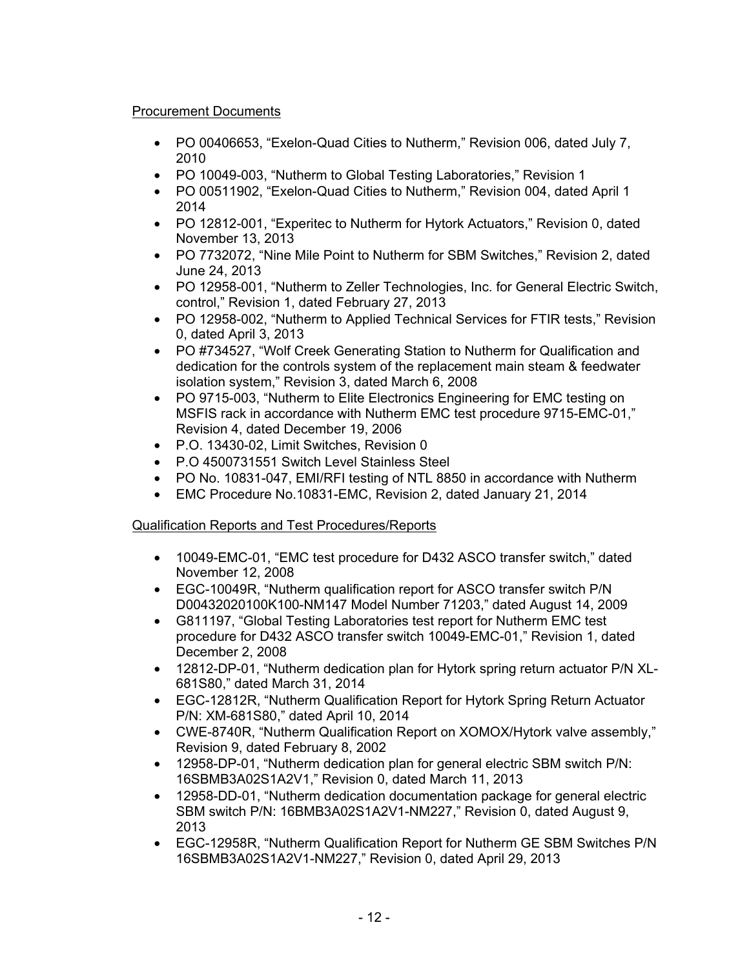### Procurement Documents

- PO 00406653, "Exelon-Quad Cities to Nutherm," Revision 006, dated July 7, 2010
- PO 10049-003, "Nutherm to Global Testing Laboratories," Revision 1
- PO 00511902, "Exelon-Quad Cities to Nutherm," Revision 004, dated April 1 2014
- PO 12812-001, "Experitec to Nutherm for Hytork Actuators," Revision 0, dated November 13, 2013
- PO 7732072, "Nine Mile Point to Nutherm for SBM Switches," Revision 2, dated June 24, 2013
- PO 12958-001, "Nutherm to Zeller Technologies, Inc. for General Electric Switch, control," Revision 1, dated February 27, 2013
- PO 12958-002, "Nutherm to Applied Technical Services for FTIR tests," Revision 0, dated April 3, 2013
- PO #734527, "Wolf Creek Generating Station to Nutherm for Qualification and dedication for the controls system of the replacement main steam & feedwater isolation system," Revision 3, dated March 6, 2008
- PO 9715-003, "Nutherm to Elite Electronics Engineering for EMC testing on MSFIS rack in accordance with Nutherm EMC test procedure 9715-EMC-01," Revision 4, dated December 19, 2006
- P.O. 13430-02, Limit Switches, Revision 0
- P.O 4500731551 Switch Level Stainless Steel
- PO No. 10831-047, EMI/RFI testing of NTL 8850 in accordance with Nutherm
- EMC Procedure No.10831-EMC, Revision 2, dated January 21, 2014

# Qualification Reports and Test Procedures/Reports

- 10049-EMC-01, "EMC test procedure for D432 ASCO transfer switch," dated November 12, 2008
- EGC-10049R, "Nutherm qualification report for ASCO transfer switch P/N D00432020100K100-NM147 Model Number 71203," dated August 14, 2009
- G811197, "Global Testing Laboratories test report for Nutherm EMC test procedure for D432 ASCO transfer switch 10049-EMC-01," Revision 1, dated December 2, 2008
- 12812-DP-01, "Nutherm dedication plan for Hytork spring return actuator P/N XL-681S80," dated March 31, 2014
- EGC-12812R, "Nutherm Qualification Report for Hytork Spring Return Actuator P/N: XM-681S80," dated April 10, 2014
- CWE-8740R, "Nutherm Qualification Report on XOMOX/Hytork valve assembly," Revision 9, dated February 8, 2002
- 12958-DP-01, "Nutherm dedication plan for general electric SBM switch P/N: 16SBMB3A02S1A2V1," Revision 0, dated March 11, 2013
- 12958-DD-01, "Nutherm dedication documentation package for general electric SBM switch P/N: 16BMB3A02S1A2V1-NM227," Revision 0, dated August 9, 2013
- EGC-12958R, "Nutherm Qualification Report for Nutherm GE SBM Switches P/N 16SBMB3A02S1A2V1-NM227," Revision 0, dated April 29, 2013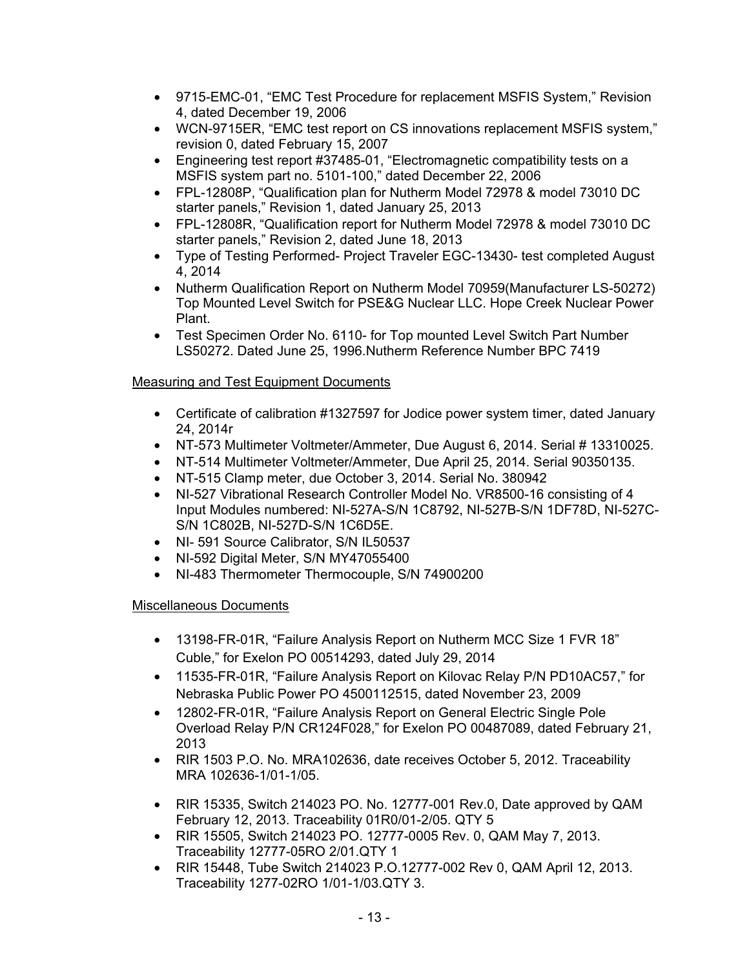- 9715-EMC-01, "EMC Test Procedure for replacement MSFIS System," Revision 4, dated December 19, 2006
- WCN-9715ER, "EMC test report on CS innovations replacement MSFIS system," revision 0, dated February 15, 2007
- Engineering test report #37485-01, "Electromagnetic compatibility tests on a MSFIS system part no. 5101-100," dated December 22, 2006
- FPL-12808P, "Qualification plan for Nutherm Model 72978 & model 73010 DC starter panels," Revision 1, dated January 25, 2013
- FPL-12808R, "Qualification report for Nutherm Model 72978 & model 73010 DC starter panels," Revision 2, dated June 18, 2013
- Type of Testing Performed- Project Traveler EGC-13430- test completed August 4, 2014
- Nutherm Qualification Report on Nutherm Model 70959(Manufacturer LS-50272) Top Mounted Level Switch for PSE&G Nuclear LLC. Hope Creek Nuclear Power Plant.
- Test Specimen Order No. 6110- for Top mounted Level Switch Part Number LS50272. Dated June 25, 1996.Nutherm Reference Number BPC 7419

# Measuring and Test Equipment Documents

- Certificate of calibration #1327597 for Jodice power system timer, dated January 24, 2014r
- NT-573 Multimeter Voltmeter/Ammeter, Due August 6, 2014. Serial # 13310025.
- NT-514 Multimeter Voltmeter/Ammeter, Due April 25, 2014. Serial 90350135.
- NT-515 Clamp meter, due October 3, 2014. Serial No. 380942
- NI-527 Vibrational Research Controller Model No. VR8500-16 consisting of 4 Input Modules numbered: NI-527A-S/N 1C8792, NI-527B-S/N 1DF78D, NI-527C-S/N 1C802B, NI-527D-S/N 1C6D5E.
- NI-591 Source Calibrator, S/N IL50537
- NI-592 Digital Meter, S/N MY47055400
- NI-483 Thermometer Thermocouple, S/N 74900200

# Miscellaneous Documents

- 13198-FR-01R, "Failure Analysis Report on Nutherm MCC Size 1 FVR 18" Cuble," for Exelon PO 00514293, dated July 29, 2014
- 11535-FR-01R, "Failure Analysis Report on Kilovac Relay P/N PD10AC57," for Nebraska Public Power PO 4500112515, dated November 23, 2009
- 12802-FR-01R, "Failure Analysis Report on General Electric Single Pole Overload Relay P/N CR124F028," for Exelon PO 00487089, dated February 21, 2013
- RIR 1503 P.O. No. MRA102636, date receives October 5, 2012. Traceability MRA 102636-1/01-1/05.
- RIR 15335, Switch 214023 PO. No. 12777-001 Rev.0, Date approved by QAM February 12, 2013. Traceability 01R0/01-2/05. QTY 5
- RIR 15505, Switch 214023 PO. 12777-0005 Rev. 0, QAM May 7, 2013. Traceability 12777-05RO 2/01.QTY 1
- RIR 15448, Tube Switch 214023 P.O.12777-002 Rev 0, QAM April 12, 2013. Traceability 1277-02RO 1/01-1/03.QTY 3.